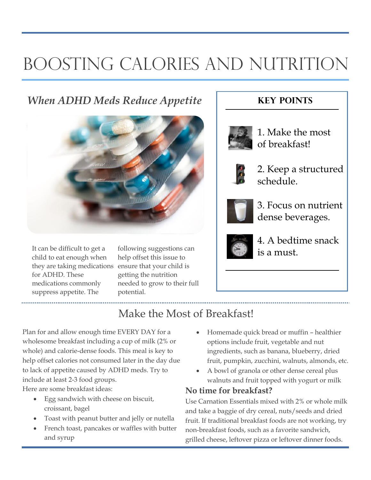# BOOSTING CALORIES AND NUTRITION

### *When ADHD Meds Reduce Appetite*



It can be difficult to get a child to eat enough when they are taking medications for ADHD. These medications commonly suppress appetite. The

following suggestions can help offset this issue to ensure that your child is getting the nutrition needed to grow to their full potential.

### **Key points**



1. Make the most of breakfast!



2. Keep a structured schedule.



3. Focus on nutrient dense beverages.



4. A bedtime snack is a must.

### Make the Most of Breakfast!

Plan for and allow enough time EVERY DAY for a wholesome breakfast including a cup of milk (2% or whole) and calorie-dense foods. This meal is key to help offset calories not consumed later in the day due to lack of appetite caused by ADHD meds. Try to include at least 2-3 food groups. Here are some breakfast ideas:

- Egg sandwich with cheese on biscuit, croissant, bagel
- Toast with peanut butter and jelly or nutella
- French toast, pancakes or waffles with butter and syrup
- Homemade quick bread or muffin healthier options include fruit, vegetable and nut ingredients, such as banana, blueberry, dried fruit, pumpkin, zucchini, walnuts, almonds, etc.
- A bowl of granola or other dense cereal plus walnuts and fruit topped with yogurt or milk

#### **No time for breakfast?**

Use Carnation Essentials mixed with 2% or whole milk and take a baggie of dry cereal, nuts/seeds and dried fruit. If traditional breakfast foods are not working, try non-breakfast foods, such as a favorite sandwich, grilled cheese, leftover pizza or leftover dinner foods.